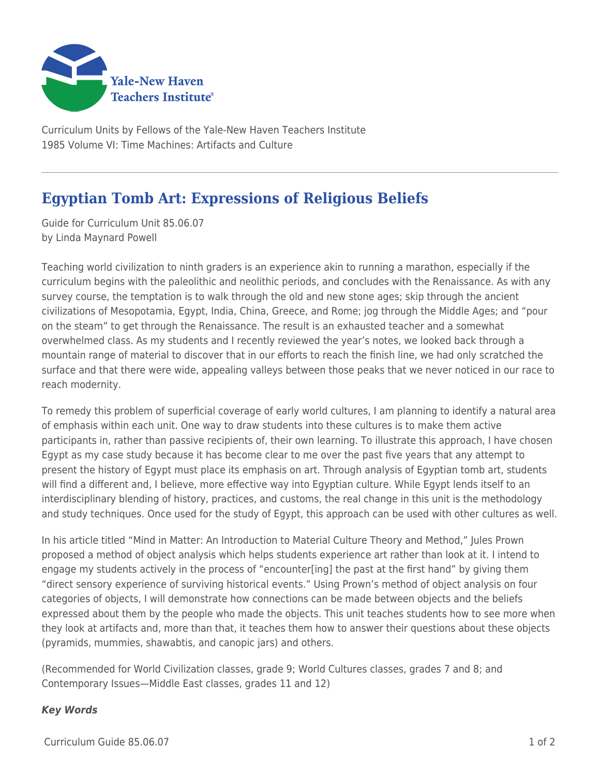

Curriculum Units by Fellows of the Yale-New Haven Teachers Institute 1985 Volume VI: Time Machines: Artifacts and Culture

## **Egyptian Tomb Art: Expressions of Religious Beliefs**

Guide for Curriculum Unit 85.06.07 by Linda Maynard Powell

Teaching world civilization to ninth graders is an experience akin to running a marathon, especially if the curriculum begins with the paleolithic and neolithic periods, and concludes with the Renaissance. As with any survey course, the temptation is to walk through the old and new stone ages; skip through the ancient civilizations of Mesopotamia, Egypt, India, China, Greece, and Rome; jog through the Middle Ages; and "pour on the steam" to get through the Renaissance. The result is an exhausted teacher and a somewhat overwhelmed class. As my students and I recently reviewed the year's notes, we looked back through a mountain range of material to discover that in our efforts to reach the finish line, we had only scratched the surface and that there were wide, appealing valleys between those peaks that we never noticed in our race to reach modernity.

To remedy this problem of superficial coverage of early world cultures, I am planning to identify a natural area of emphasis within each unit. One way to draw students into these cultures is to make them active participants in, rather than passive recipients of, their own learning. To illustrate this approach, I have chosen Egypt as my case study because it has become clear to me over the past five years that any attempt to present the history of Egypt must place its emphasis on art. Through analysis of Egyptian tomb art, students will find a different and, I believe, more effective way into Egyptian culture. While Egypt lends itself to an interdisciplinary blending of history, practices, and customs, the real change in this unit is the methodology and study techniques. Once used for the study of Egypt, this approach can be used with other cultures as well.

In his article titled "Mind in Matter: An Introduction to Material Culture Theory and Method," Jules Prown proposed a method of object analysis which helps students experience art rather than look at it. I intend to engage my students actively in the process of "encounter[ing] the past at the first hand" by giving them "direct sensory experience of surviving historical events." Using Prown's method of object analysis on four categories of objects, I will demonstrate how connections can be made between objects and the beliefs expressed about them by the people who made the objects. This unit teaches students how to see more when they look at artifacts and, more than that, it teaches them how to answer their questions about these objects (pyramids, mummies, shawabtis, and canopic jars) and others.

(Recommended for World Civilization classes, grade 9; World Cultures classes, grades 7 and 8; and Contemporary Issues—Middle East classes, grades 11 and 12)

## *Key Words*